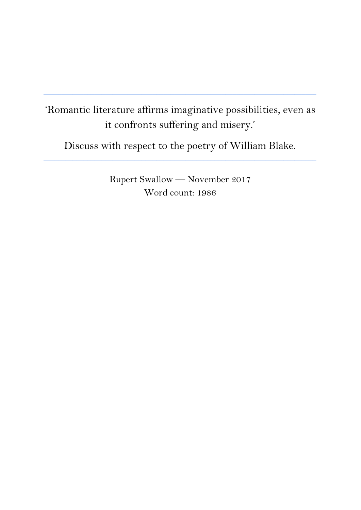# 'Romantic literature affirms imaginative possibilities, even as it confronts suffering and misery.'

**\_\_\_\_\_\_\_\_\_\_\_\_\_\_\_\_\_\_\_\_\_\_\_\_\_\_\_\_\_\_\_\_\_\_\_\_\_\_\_\_\_\_\_\_\_\_\_\_\_\_\_\_\_\_\_\_\_\_\_\_\_\_\_\_\_\_\_\_\_\_\_\_\_\_\_**

Discuss with respect to the poetry of William Blake.

**\_\_\_\_\_\_\_\_\_\_\_\_\_\_\_\_\_\_\_\_\_\_\_\_\_\_\_\_\_\_\_\_\_\_\_\_\_\_\_\_\_\_\_\_\_\_\_\_\_\_\_\_\_\_\_\_\_\_\_\_\_\_\_\_\_\_\_\_\_\_\_\_\_\_\_**

Rupert Swallow — November 2017 Word count: 1986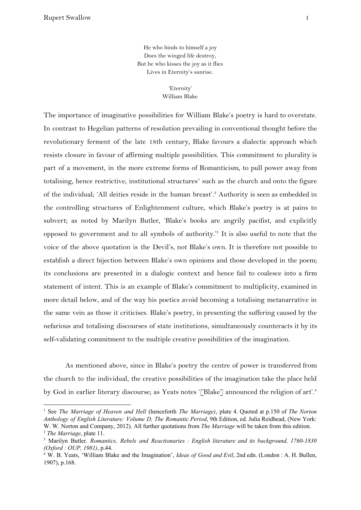He who binds to himself a joy Does the winged life destroy, But he who kisses the joy as it flies Lives in Eternity's sunrise.

> 'Eternity' William Blake

The importance of imaginative possibilities for William Blake's poetry is hard to overstate. In contrast to Hegelian patterns of resolution prevailing in conventional thought before the revolutionary ferment of the late 18th century, Blake favours a dialectic approach which resists closure in favour of affirming multiple possibilities. This commitment to plurality is part of a movement, in the more extreme forms of Romanticism, to pull power away from totalising, hence restrictive, institutional structures<sup>1</sup> such as the church and onto the figure of the individual; 'All deities reside in the human breast'.<sup>2</sup> Authority is seen as embedded in the controlling structures of Enlightenment culture, which Blake's poetry is at pains to subvert; as noted by Marilyn Butler, 'Blake's books are angrily pacifist, and explicitly opposed to government and to all symbols of authority.<sup>3</sup> It is also useful to note that the voice of the above quotation is the Devil's, not Blake's own. It is therefore not possible to establish a direct bijection between Blake's own opinions and those developed in the poem; its conclusions are presented in a dialogic context and hence fail to coalesce into a firm statement of intent. This is an example of Blake's commitment to multiplicity, examined in more detail below, and of the way his poetics avoid becoming a totalising metanarrative in the same vein as those it criticises. Blake's poetry, in presenting the suffering caused by the nefarious and totalising discourses of state institutions, simultaneously counteracts it by its self-validating commitment to the multiple creative possibilities of the imagination.

As mentioned above, since in Blake's poetry the centre of power is transferred from the church to the individual, the creative possibilities of the imagination take the place held by God in earlier literary discourse; as Yeats notes '[Blake] announced the religion of art'.<sup>4</sup>

<sup>1</sup> See *The Marriage of Heaven and Hell* (henceforth *The Marriage)*, plate 4. Quoted at p.150 of *The Norton Anthology of English Literature: Volume D, The Romantic Period*, 9th Edition, ed. Julia Reidhead, (New York: W. W. Norton and Company, 2012). All further quotations from *The Marriage* will be taken from this edition. <sup>2</sup> *The Marriage*, plate 11.

<sup>3</sup> Marilyn Butler*, Romantics, Rebels and Reactionaries : English literature and its background, 1760-1830 (Oxford : OUP, 1981)*, p.44.

<sup>4</sup> W. B. Yeats, 'William Blake and the Imagination', *Ideas of Good and Evil*, 2nd edn. (London : A. H. Bullen, 1907), p.168.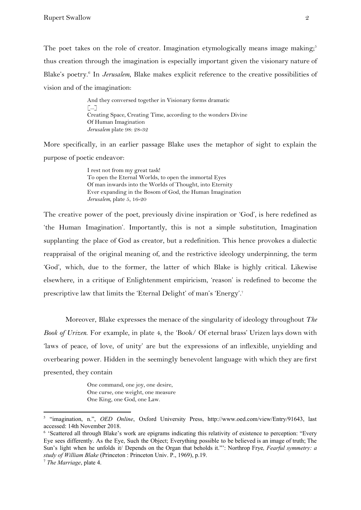The poet takes on the role of creator. Imagination etymologically means image making;<sup>5</sup> thus creation through the imagination is especially important given the visionary nature of Blake's poetry.<sup>6</sup> In *Jerusalem*, Blake makes explicit reference to the creative possibilities of vision and of the imagination:

> And they conversed together in Visionary forms dramatic [...] Creating Space, Creating Time, according to the wonders Divine Of Human Imagination *Jerusalem* plate 98: 28-32

More specifically, in an earlier passage Blake uses the metaphor of sight to explain the purpose of poetic endeavor:

> I rest not from my great task! To open the Eternal Worlds, to open the immortal Eyes Of man inwards into the Worlds of Thought, into Eternity Ever expanding in the Bosom of God, the Human Imagination *Jerusalem*, plate 5, 16-20

The creative power of the poet, previously divine inspiration or 'God', is here redefined as 'the Human Imagination'. Importantly, this is not a simple substitution, Imagination supplanting the place of God as creator, but a redefinition. This hence provokes a dialectic reappraisal of the original meaning of, and the restrictive ideology underpinning, the term 'God', which, due to the former, the latter of which Blake is highly critical. Likewise elsewhere, in a critique of Enlightenment empiricism, 'reason' is redefined to become the prescriptive law that limits the 'Eternal Delight' of man's 'Energy'.<sup>7</sup>

Moreover, Blake expresses the menace of the singularity of ideology throughout *The Book of Urizen*. For example, in plate 4, the 'Book/ Of eternal brass' Urizen lays down with 'laws of peace, of love, of unity' are but the expressions of an inflexible, unyielding and overbearing power. Hidden in the seemingly benevolent language with which they are first presented, they contain

> One command, one joy, one desire, One curse, one weight, one measure One King, one God, one Law.

<sup>5</sup> "imagination, n.", *OED Online*, Oxford University Press, http://www.oed.com/view/Entry/91643, last accessed: 14th November 2018.

<sup>&</sup>lt;sup>6</sup> 'Scattered all through Blake's work are epigrams indicating this relativity of existence to perception: "Every Eye sees differently. As the Eye, Such the Object; Everything possible to be believed is an image of truth; The Sun's light when he unfolds it/ Depends on the Organ that beholds it."': Northrop Frye*, Fearful symmetry: a study of William Blake* (Princeton : Princeton Univ. P., 1969), p.19.

<sup>7</sup> *The Marriage*, plate 4.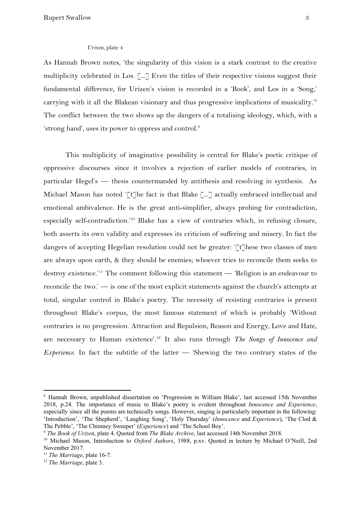#### *Urizen*, plate 4

As Hannah Brown notes, 'the singularity of this vision is a stark contrast to the creative multiplicity celebrated in Los. [...] Even the titles of their respective visions suggest their fundamental difference, for Urizen's vision is recorded in a 'Book', and Los in a 'Song,' carrying with it all the Blakean visionary and thus progressive implications of musicality.'<sup>8</sup> The conflict between the two shows up the dangers of a totalising ideology, which, with a 'strong hand', uses its power to oppress and control.<sup>9</sup>

This multiplicity of imaginative possibility is central for Blake's poetic critique of oppressive discourses since it involves a rejection of earlier models of contraries, in particular Hegel's — thesis countermanded by antithesis and resolving in synthesis. As Michael Mason has noted '[t]he fact is that Blake [...] actually embraced intellectual and emotional ambivalence. He is the great anti-simplifier, always probing for contradiction, especially self-contradiction.'<sup>10</sup> Blake has a view of contraries which, in refusing closure, both asserts its own validity and expresses its criticism of suffering and misery. In fact the dangers of accepting Hegelian resolution could not be greater: '[t] hese two classes of men are always upon earth, & they should be enemies; whoever tries to reconcile them seeks to destroy existence.'<sup>11</sup> The comment following this statement  $-$  'Religion is an endeavour to reconcile the two.' — is one of the most explicit statements against the church's attempts at total, singular control in Blake's poetry. The necessity of resisting contraries is present throughout Blake's corpus, the most famous statement of which is probably 'Without contraries is no progression. Attraction and Repulsion, Reason and Energy, Love and Hate, are necessary to Human existence'.<sup>12</sup> It also runs through *The Songs of Innocence and Experience*. In fact the subtitle of the latter — 'Shewing the two contrary states of the

<sup>8</sup> Hannah Brown, unpublished dissertation on 'Progression in William Blake', last accessed 15th November 2018, p.24. The importance of music to Blake's poetry is evident throughout *Innocence and Experience*, especially since all the poems are technically songs. However, singing is particularly important in the following: 'Introduction', 'The Shepherd', 'Laughing Song', 'Holy Thursday' (*Innocence* and *Experience*), 'The Clod & The Pebble', 'The Chimney Sweeper' (*Experience*) and 'The School Boy'.

<sup>9</sup> *The Book of Urizen*, plate 4. Quoted from *The Blake Archive*, last accessed 14th November 2018.

<sup>&</sup>lt;sup>10</sup> Michael Mason, Introduction to *Oxford Authors*, 1988, p.xv. Quoted in lecture by Michael O'Neill, 2nd November 2017.

<sup>11</sup> *The Marriage*, plate 16-7.

<sup>12</sup> *The Marriage*, plate 3.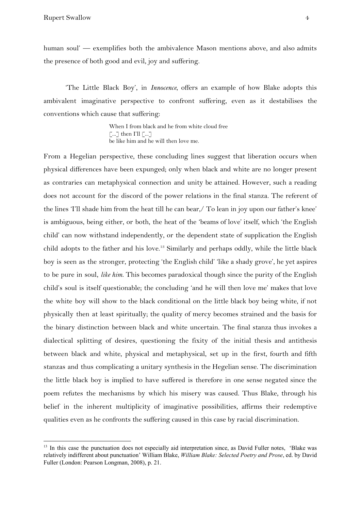human soul' — exemplifies both the ambivalence Mason mentions above, and also admits the presence of both good and evil, joy and suffering.

'The Little Black Boy', in *Innocence*, offers an example of how Blake adopts this ambivalent imaginative perspective to confront suffering, even as it destabilises the conventions which cause that suffering:

> When I from black and he from white cloud free  $\lceil ... \rceil$  then I'll  $\lceil ... \rceil$ be like him and he will then love me.

From a Hegelian perspective, these concluding lines suggest that liberation occurs when physical differences have been expunged; only when black and white are no longer present as contraries can metaphysical connection and unity be attained. However, such a reading does not account for the discord of the power relations in the final stanza. The referent of the lines 'I'll shade him from the heat till he can bear,/ To lean in joy upon our father's knee' is ambiguous, being either, or both, the heat of the 'beams of love' itself, which 'the English child' can now withstand independently, or the dependent state of supplication the English child adopts to the father and his love.<sup>13</sup> Similarly and perhaps oddly, while the little black boy is seen as the stronger, protecting 'the English child' 'like a shady grove', he yet aspires to be pure in soul, *like him*. This becomes paradoxical though since the purity of the English child's soul is itself questionable; the concluding 'and he will then love me' makes that love the white boy will show to the black conditional on the little black boy being white, if not physically then at least spiritually; the quality of mercy becomes strained and the basis for the binary distinction between black and white uncertain. The final stanza thus invokes a dialectical splitting of desires, questioning the fixity of the initial thesis and antithesis between black and white, physical and metaphysical, set up in the first, fourth and fifth stanzas and thus complicating a unitary synthesis in the Hegelian sense. The discrimination the little black boy is implied to have suffered is therefore in one sense negated since the poem refutes the mechanisms by which his misery was caused. Thus Blake, through his belief in the inherent multiplicity of imaginative possibilities, affirms their redemptive qualities even as he confronts the suffering caused in this case by racial discrimination.

<sup>&</sup>lt;sup>13</sup> In this case the punctuation does not especially aid interpretation since, as David Fuller notes, 'Blake was relatively indifferent about punctuation' William Blake, *William Blake: Selected Poetry and Prose*, ed. by David Fuller (London: Pearson Longman, 2008), p. 21.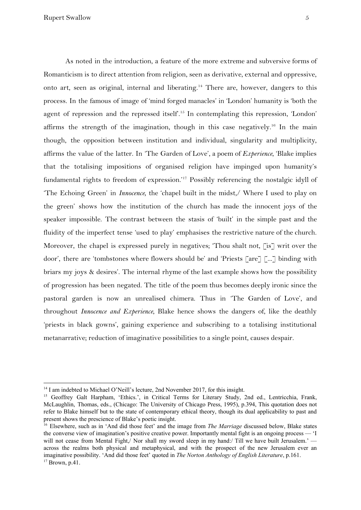As noted in the introduction, a feature of the more extreme and subversive forms of Romanticism is to direct attention from religion, seen as derivative, external and oppressive, onto art, seen as original, internal and liberating.<sup>14</sup> There are, however, dangers to this process. In the famous of image of 'mind forged manacles' in 'London' humanity is 'both the agent of repression and the repressed itself.<sup>15</sup> In contemplating this repression, 'London' affirms the strength of the imagination, though in this case negatively.<sup>16</sup> In the main though, the opposition between institution and individual, singularity and multiplicity, affirms the value of the latter. In 'The Garden of Love', a poem of *Experience*, 'Blake implies that the totalising impositions of organised religion have impinged upon humanity's fundamental rights to freedom of expression.<sup>'17</sup> Possibly referencing the nostalgic idyll of 'The Echoing Green' in *Innocence,* the 'chapel built in the midst,/ Where I used to play on the green' shows how the institution of the church has made the innocent joys of the speaker impossible. The contrast between the stasis of 'built' in the simple past and the fluidity of the imperfect tense 'used to play' emphasises the restrictive nature of the church. Moreover, the chapel is expressed purely in negatives; Thou shalt not, [is] writ over the door', there are 'tombstones where flowers should be' and 'Priests [are] [...] binding with briars my joys & desires'. The internal rhyme of the last example shows how the possibility of progression has been negated. The title of the poem thus becomes deeply ironic since the pastoral garden is now an unrealised chimera. Thus in 'The Garden of Love', and throughout *Innocence and Experience*, Blake hence shows the dangers of, like the deathly 'priests in black gowns', gaining experience and subscribing to a totalising institutional metanarrative; reduction of imaginative possibilities to a single point, causes despair.

<sup>&</sup>lt;sup>14</sup> I am indebted to Michael O'Neill's lecture, 2nd November 2017, for this insight.

<sup>&</sup>lt;sup>15</sup> Geoffrey Galt Harpham, 'Ethics.', in Critical Terms for Literary Study, 2nd ed., Lentricchia, Frank, McLaughlin, Thomas, eds., (Chicago: The University of Chicago Press, 1995), p.394, This quotation does not refer to Blake himself but to the state of contemporary ethical theory, though its dual applicability to past and present shows the prescience of Blake's poetic insight.

<sup>&</sup>lt;sup>16</sup> Elsewhere, such as in 'And did those feet' and the image from *The Marriage* discussed below, Blake states the converse view of imagination's positive creative power. Importantly mental fight is an ongoing process — 'I will not cease from Mental Fight,/ Nor shall my sword sleep in my hand:/ Till we have built Jerusalem.' across the realms both physical and metaphysical, and with the prospect of the new Jerusalem ever an imaginative possibility. 'And did those feet' quoted in *The Norton Anthology of English Literature*, p.161. <sup>17</sup> Brown, p.41.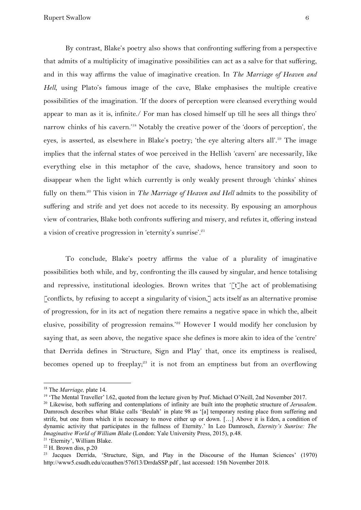By contrast, Blake's poetry also shows that confronting suffering from a perspective that admits of a multiplicity of imaginative possibilities can act as a salve for that suffering, and in this way affirms the value of imaginative creation. In *The Marriage of Heaven and Hell*, using Plato's famous image of the cave, Blake emphasises the multiple creative possibilities of the imagination. 'If the doors of perception were cleansed everything would appear to man as it is, infinite./ For man has closed himself up till he sees all things thro' narrow chinks of his cavern.<sup>'18</sup> Notably the creative power of the 'doors of perception', the eyes, is asserted, as elsewhere in Blake's poetry; 'the eye altering alters all'.<sup>19</sup> The image implies that the infernal states of woe perceived in the Hellish 'cavern' are necessarily, like everything else in this metaphor of the cave, shadows, hence transitory and soon to disappear when the light which currently is only weakly present through 'chinks' shines fully on them.<sup>20</sup> This vision in *The Marriage of Heaven and Hell* admits to the possibility of suffering and strife and yet does not accede to its necessity. By espousing an amorphous view of contraries, Blake both confronts suffering and misery, and refutes it, offering instead a vision of creative progression in 'eternity's sunrise'.<sup>21</sup>

To conclude, Blake's poetry affirms the value of a plurality of imaginative possibilities both while, and by, confronting the ills caused by singular, and hence totalising and repressive, institutional ideologies. Brown writes that '[t] he act of problematising [conflicts, by refusing to accept a singularity of vision,] acts itself as an alternative promise of progression, for in its act of negation there remains a negative space in which the, albeit elusive, possibility of progression remains.<sup>222</sup> However I would modify her conclusion by saying that, as seen above, the negative space she defines is more akin to idea of the 'centre' that Derrida defines in 'Structure, Sign and Play' that, once its emptiness is realised, becomes opened up to freeplay;<sup>23</sup> it is not from an emptiness but from an overflowing

<sup>21</sup> 'Eternity', William Blake.

<sup>18</sup> The *Marriage,* plate 14.

<sup>&</sup>lt;sup>19</sup> 'The Mental Traveller' 1.62, quoted from the lecture given by Prof. Michael O'Neill, 2nd November 2017.

<sup>20</sup> Likewise, both suffering and contemplations of infinity are built into the prophetic structure of *Jerusalem*. Damrosch describes what Blake calls 'Beulah' in plate 98 as '[a] temporary resting place from suffering and strife, but one from which it is necessary to move either up or down. […] Above it is Eden, a condition of dynamic activity that participates in the fullness of Eternity.' In Leo Damrosch, *Eternity's Sunrise: The Imaginative World of William Blake* (London: Yale University Press, 2015), p.48.

 $22$  H. Brown diss, p.20

<sup>23</sup> Jacques Derrida, 'Structure, Sign, and Play in the Discourse of the Human Sciences' (1970) http://www5.csudh.edu/ccauthen/576f13/DrrdaSSP.pdf , last accessed: 15th November 2018.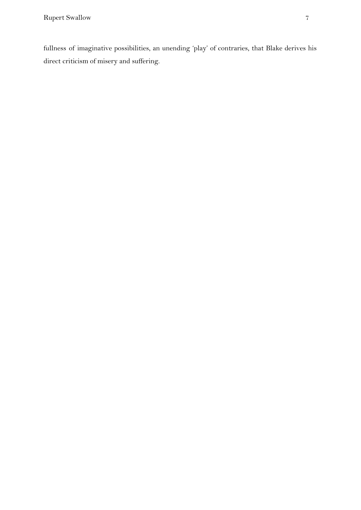fullness of imaginative possibilities, an unending 'play' of contraries, that Blake derives his direct criticism of misery and suffering.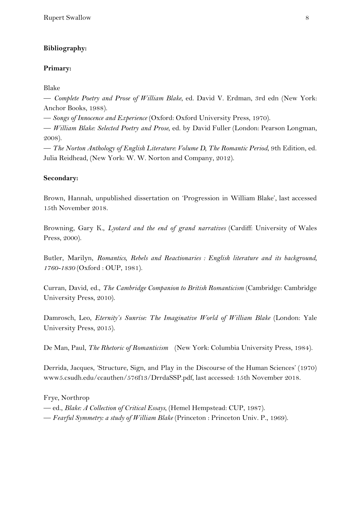# **Bibliography:**

## **Primary:**

Blake

— *Complete Poetry and Prose of William Blake*, ed. David V. Erdman, 3rd edn (New York: Anchor Books, 1988).

— *Songs of Innocence and Experience* (Oxford: Oxford University Press, 1970).

— *William Blake: Selected Poetry and Prose*, ed. by David Fuller (London: Pearson Longman, 2008).

— *The Norton Anthology of English Literature: Volume D, The Romantic Period*, 9th Edition, ed. Julia Reidhead, (New York: W. W. Norton and Company, 2012).

### **Secondary:**

Brown, Hannah, unpublished dissertation on 'Progression in William Blake', last accessed 15th November 2018.

Browning, Gary K., *Lyotard and the end of grand narratives* (Cardiff: University of Wales Press, 2000).

Butler, Marilyn, *Romantics, Rebels and Reactionaries : English literature and its background, 1760-1830* (Oxford : OUP, 1981).

Curran, David, ed., *The Cambridge Companion to British Romanticism* (Cambridge: Cambridge University Press, 2010).

Damrosch, Leo, *Eternity's Sunrise: The Imaginative World of William Blake* (London: Yale University Press, 2015).

De Man, Paul, *The Rhetoric of Romanticism* (New York: Columbia University Press, 1984).

Derrida, Jacques, 'Structure, Sign, and Play in the Discourse of the Human Sciences' (1970) www5.csudh.edu/ccauthen/576f13/DrrdaSSP.pdf, last accessed: 15th November 2018.

Frye, Northrop

- ed., *Blake: A Collection of Critical Essays*, (Hemel Hempstead: CUP, 1987).
- *Fearful Symmetry: a study of William Blake* (Princeton : Princeton Univ. P., 1969).